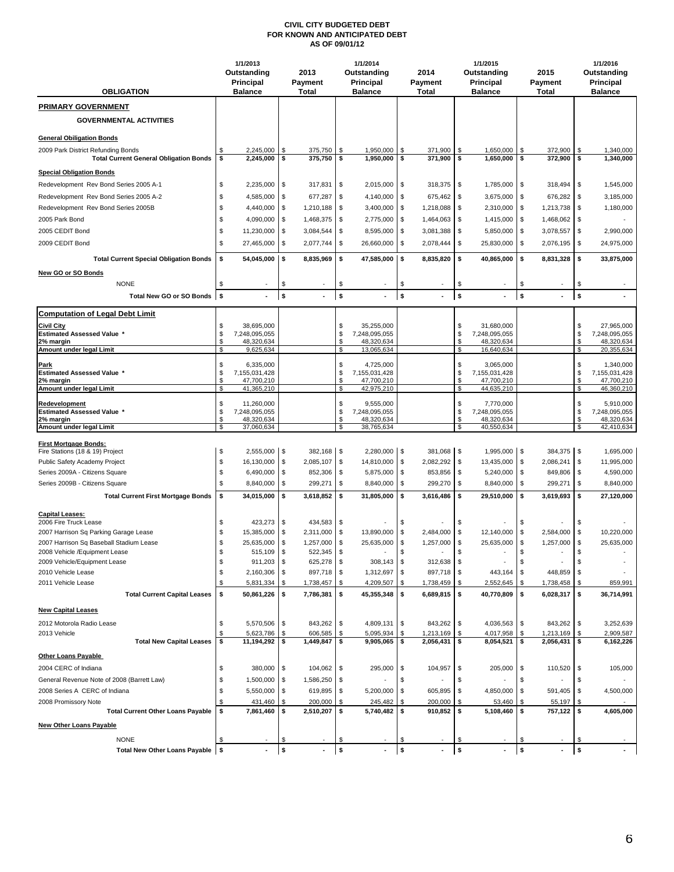## **CIVIL CITY BUDGETED DEBT FOR KNOWN AND ANTICIPATED DEBT AS OF 09/01/12**

|                                                                                     | 1/1/2013<br>Outstanding                 | 2013                                             | 1/1/2014<br>Outstanding     |                             |          | 2014                   |                    | 1/1/2015<br>Outstanding     |              | 2015                    |          | 1/1/2016<br>Outstanding            |  |
|-------------------------------------------------------------------------------------|-----------------------------------------|--------------------------------------------------|-----------------------------|-----------------------------|----------|------------------------|--------------------|-----------------------------|--------------|-------------------------|----------|------------------------------------|--|
| <b>OBLIGATION</b>                                                                   | Principal<br><b>Balance</b>             | <b>Payment</b><br>Total                          | Principal<br><b>Balance</b> |                             |          | Payment<br>Total       |                    | Principal<br><b>Balance</b> |              | Payment<br><b>Total</b> |          | <b>Principal</b><br><b>Balance</b> |  |
| <b>PRIMARY GOVERNMENT</b>                                                           |                                         |                                                  |                             |                             |          |                        |                    |                             |              |                         |          |                                    |  |
| <b>GOVERNMENTAL ACTIVITIES</b>                                                      |                                         |                                                  |                             |                             |          |                        |                    |                             |              |                         |          |                                    |  |
| <b>General Obiligation Bonds</b>                                                    |                                         |                                                  |                             |                             |          |                        |                    |                             |              |                         |          |                                    |  |
| 2009 Park District Refunding Bonds<br><b>Total Current General Obligation Bonds</b> | 2,245,000<br>2,245,000<br>\$            | 375,750<br>\$<br>\$<br>375,750                   | -\$<br>\$                   | 1,950,000<br>1,950,000      | \$<br>\$ | 371,900<br>371,900     | \$<br>\$           | 1,650,000<br>1,650,000      | -\$<br>\$    | 372,900<br>372,900      | \$<br>\$ | 1,340,000<br>1,340,000             |  |
| <b>Special Obligation Bonds</b>                                                     |                                         |                                                  |                             |                             |          |                        |                    |                             |              |                         |          |                                    |  |
| Redevelopment Rev Bond Series 2005 A-1                                              | \$<br>2,235,000                         | \$<br>317,831                                    | \$                          | $2,015,000$ \$              |          | 318,375                | \$                 | 1,785,000                   | \$           | 318,494                 | \$       | 1,545,000                          |  |
| Redevelopment Rev Bond Series 2005 A-2                                              | \$<br>4,585,000                         | \$<br>677,287                                    | \$                          | 4,140,000                   | \$       | 675,462                | \$                 | 3,675,000                   | \$           | 676,282                 | \$       | 3,185,000                          |  |
| Redevelopment Rev Bond Series 2005B                                                 | \$<br>4,440,000                         | \$<br>1,210,188                                  | \$                          | 3,400,000                   | \$       | 1,218,088              | \$                 | 2,310,000                   | \$           | 1,213,738               | \$       | 1,180,000                          |  |
| 2005 Park Bond                                                                      | \$<br>4,090,000                         | 1,468,375<br>\$                                  | \$                          | 2,775,000                   | \$       | 1,464,063              | \$                 | 1,415,000                   | \$           | 1,468,062               | \$       |                                    |  |
| 2005 CEDIT Bond                                                                     | \$<br>11,230,000                        | \$<br>3,084,544                                  | \$                          | 8,595,000                   | \$       | 3,081,388              | \$                 | 5,850,000                   | \$           | 3,078,557               | \$       | 2,990,000                          |  |
| 2009 CEDIT Bond                                                                     | \$<br>27,465,000                        | \$<br>2,077,744                                  | \$                          | 26,660,000                  | \$       | 2,078,444              | \$                 | 25,830,000                  | \$           | 2,076,195               | \$       | 24,975,000                         |  |
| <b>Total Current Special Obligation Bonds</b>                                       | \$<br>54,045,000                        | 8,835,969<br>\$                                  | \$                          | 47,585,000 \$               |          | 8,835,820              | \$                 | 40,865,000                  | \$           | 8,831,328               | \$       | 33,875,000                         |  |
| New GO or SO Bonds                                                                  |                                         |                                                  |                             |                             |          |                        |                    |                             |              |                         |          |                                    |  |
| <b>NONE</b>                                                                         | \$                                      |                                                  | \$                          |                             | \$       |                        | \$                 |                             | S            |                         | \$       |                                    |  |
| Total New GO or SO Bonds \$                                                         |                                         | \$                                               | \$                          |                             | \$       |                        | \$                 |                             | $\mathsf{s}$ |                         | \$       |                                    |  |
| <b>Computation of Legal Debt Limit</b>                                              |                                         |                                                  |                             |                             |          |                        |                    |                             |              |                         |          |                                    |  |
| <b>Civil City</b>                                                                   | 38,695,000<br>\$                        |                                                  | \$                          | 35,255,000                  |          |                        | \$                 | 31,680,000                  |              |                         | \$       | 27,965,000                         |  |
| <b>Estimated Assessed Value *</b><br>2% margin                                      | \$<br>7,248,095,055<br>\$<br>48,320,634 |                                                  | \$<br>\$                    | 7,248,095,055<br>48.320.634 |          |                        | \$<br>$\mathbb{S}$ | 7,248,095,055<br>48,320,634 |              |                         | \$<br>\$ | 7,248,095,055<br>48,320,634        |  |
| Amount under legal Limit                                                            | \$<br>9,625,634                         |                                                  | \$                          | 13,065,634                  |          |                        | \$                 | 16,640,634                  |              |                         | \$       | 20,355,634                         |  |
| Park                                                                                | \$<br>6,335,000                         |                                                  | \$                          | 4,725,000                   |          |                        | \$                 | 3,065,000                   |              |                         | \$       | 1,340,000                          |  |
| <b>Estimated Assessed Value *</b><br>2% margin                                      | \$<br>7,155,031,428<br>\$<br>47,700,210 |                                                  | \$<br>\$                    | 7,155,031,428<br>47,700,210 |          |                        | $\,$<br>\$         | 7,155,031,428<br>47,700,210 |              |                         | \$<br>\$ | 7,155,031,428<br>47,700,210        |  |
| Amount under legal Limit                                                            | \$<br>41,365,210                        |                                                  | \$                          | 42,975,210                  |          |                        | \$                 | 44,635,210                  |              |                         | \$       | 46,360,210                         |  |
| Redevelopment                                                                       | \$<br>11,260,000                        |                                                  | \$                          | 9,555,000                   |          |                        | \$                 | 7,770,000                   |              |                         | \$       | 5,910,000                          |  |
| <b>Estimated Assessed Value *</b>                                                   | \$<br>7,248,095,055                     |                                                  | \$                          | 7,248,095,055               |          |                        | \$                 | 7,248,095,055               |              |                         | \$       | 7,248,095,055                      |  |
| 2% margin<br>Amount under legal Limit                                               | \$<br>48,320,634<br>\$<br>37,060,634    |                                                  | \$<br>\$                    | 48,320,634<br>38,765,634    |          |                        | \$<br>\$           | 48,320,634<br>40,550,634    |              |                         | \$<br>\$ | 48,320,634<br>42,410,634           |  |
|                                                                                     |                                         |                                                  |                             |                             |          |                        |                    |                             |              |                         |          |                                    |  |
| <b>First Mortgage Bonds:</b><br>Fire Stations (18 & 19) Project                     | \$<br>2,555,000                         | l \$<br>382,168 \$                               |                             | $2,280,000$ \$              |          | 381,068                | \$                 | 1,995,000 \$                |              | 384,375 \$              |          | 1,695,000                          |  |
| Public Safety Academy Project                                                       | \$<br>16,130,000                        | $\sqrt{3}$<br>2,085,107 \$                       |                             | 14,810,000                  | - \$     | 2,082,292              | \$                 | 13,435,000 \$               |              | 2,086,241               | \$       | 11,995,000                         |  |
| Series 2009A - Citizens Square                                                      | \$<br>6,490,000                         | \$<br>852,306                                    | \$                          | 5,875,000                   | \$       | 853,856                | \$                 | 5,240,000 \$                |              | 849,806                 | \$       | 4,590,000                          |  |
| Series 2009B - Citizens Square                                                      | \$<br>8,840,000                         | 299,271<br>\$                                    | \$                          | 8,840,000                   | <b>S</b> | 299,270                | \$                 | 8,840,000                   | \$           | 299,271                 | \$       | 8,840,000                          |  |
| <b>Total Current First Mortgage Bonds</b>                                           | \$<br>34,015,000                        | \$<br>3,618,852                                  | \$                          | 31,805,000                  | \$       | 3,616,486              | \$                 | 29,510,000                  | \$           | 3,619,693               | \$       | 27,120,000                         |  |
| <b>Capital Leases:</b>                                                              |                                         |                                                  |                             |                             |          |                        |                    |                             |              |                         |          |                                    |  |
| 2006 Fire Truck Lease                                                               | \$<br>423,273                           | \$<br>434,583 \$                                 |                             |                             | \$       |                        |                    |                             | S            |                         | \$       |                                    |  |
| 2007 Harrison Sq Parking Garage Lease<br>2007 Harrison Sq Baseball Stadium Lease    | \$<br>15,385,000<br>\$<br>25,635,000    | \$<br>2,311,000 \$<br>$\sqrt{3}$<br>1,257,000 \$ |                             | 13,890,000<br>25,635,000    | \$<br>\$ | 2,484,000<br>1,257,000 | \$<br>\$           | 12,140,000<br>25,635,000    | \$<br>\$     | 2,584,000<br>1,257,000  | \$<br>\$ | 10,220,000<br>25,635,000           |  |
| 2008 Vehicle /Equipment Lease                                                       | ፍ<br>515,109                            | $\mathcal{S}$<br>522,345                         | <b>S</b>                    |                             | ፍ        |                        | ፍ                  |                             |              |                         | \$       |                                    |  |
| 2009 Vehicle/Equipment Lease                                                        | \$<br>911,203                           | <b>\$</b><br>625,278 \$                          |                             | $308,143$ \$                |          | 312,638                | \$                 |                             | \$           |                         | \$       |                                    |  |
| 2010 Vehicle Lease                                                                  | 2,160,306<br>S                          | 897,718 \$<br>\$                                 |                             | 1,312,697                   | -\$      | 897,718                | \$                 | 443,164                     |              | 448,859                 | \$       |                                    |  |
| 2011 Vehicle Lease                                                                  | S<br>5,831,334                          | 1,738,457<br>\$.                                 | S                           | 4,209,507                   | - \$     | 1,738,459              | \$                 | 2,552,645                   |              | 1,738,458               | \$       | 859,991                            |  |
| <b>Total Current Capital Leases</b>                                                 | \$<br>50,861,226                        | \$<br>7,786,381 \$                               |                             | 45,355,348                  | l \$     | 6,689,815              | \$                 | 40,770,809                  | \$           | 6,028,317               | \$       | 36,714,991                         |  |
| <b>New Capital Leases</b>                                                           |                                         |                                                  |                             |                             |          |                        |                    |                             |              |                         |          |                                    |  |
| 2012 Motorola Radio Lease                                                           | \$<br>5,570,506                         | 843,262 \$<br>  \$                               |                             | 4,809,131 \$                |          | 843,262 \$             |                    | 4,036,563 \$                |              | 843,262 \$              |          | 3,252,639                          |  |
| 2013 Vehicle                                                                        | 5,623,786                               | 606,585<br>\$                                    | \$                          | 5,095,934                   |          | 1,213,169              | \$                 | 4,017,958                   |              | 1,213,169               |          | 2,909,587                          |  |
| <b>Total New Capital Leases</b>                                                     | \$<br>11,194,292                        | 1,449,847 \$<br>\$                               |                             | $9,905,065$ \$              |          | 2,056,431              | \$                 | 8,054,521                   | \$           | $2,056,431$ \$          |          | 6,162,226                          |  |
| <b>Other Loans Payable</b>                                                          |                                         |                                                  |                             |                             |          |                        |                    |                             |              |                         |          |                                    |  |
| 2004 CERC of Indiana                                                                | \$<br>380,000                           | \$<br>104,062 \$                                 |                             | 295,000 \$                  |          | 104,957                | \$                 | 205,000                     | \$           | 110,520                 | \$       | 105,000                            |  |
| General Revenue Note of 2008 (Barrett Law)                                          | 1,500,000<br>\$                         | 1,586,250 \$<br>  \$                             |                             |                             | \$       |                        | \$                 |                             | \$           |                         | \$       |                                    |  |
| 2008 Series A CERC of Indiana                                                       | 5,550,000<br>S                          | 619,895 \$<br>\$                                 |                             | 5,200,000 \$                |          | 605,895                | \$                 | 4,850,000                   |              | 591,405                 | l \$     | 4,500,000                          |  |
| 2008 Promissory Note                                                                | 431,460                                 | 200,000                                          | S                           | 245,482                     | \$       | 200,000                | \$                 | 53,460                      |              | 55,197                  | \$       |                                    |  |
| <b>Total Current Other Loans Payable</b>                                            | \$<br>7,861,460                         | 2,510,207 \$<br>\$                               |                             | 5,740,482 \$                |          | 910,852                | \$                 | 5,108,460                   | \$           | $757,122$ \$            |          | 4,605,000                          |  |
| <b>New Other Loans Payable</b>                                                      |                                         |                                                  |                             |                             |          |                        |                    |                             |              |                         |          |                                    |  |
| <b>NONE</b>                                                                         | \$.                                     |                                                  |                             |                             |          |                        |                    |                             |              |                         |          |                                    |  |
| Total New Other Loans Payable \$                                                    |                                         | \$                                               | \$                          |                             | \$       |                        | \$                 |                             | \$           |                         | \$       |                                    |  |